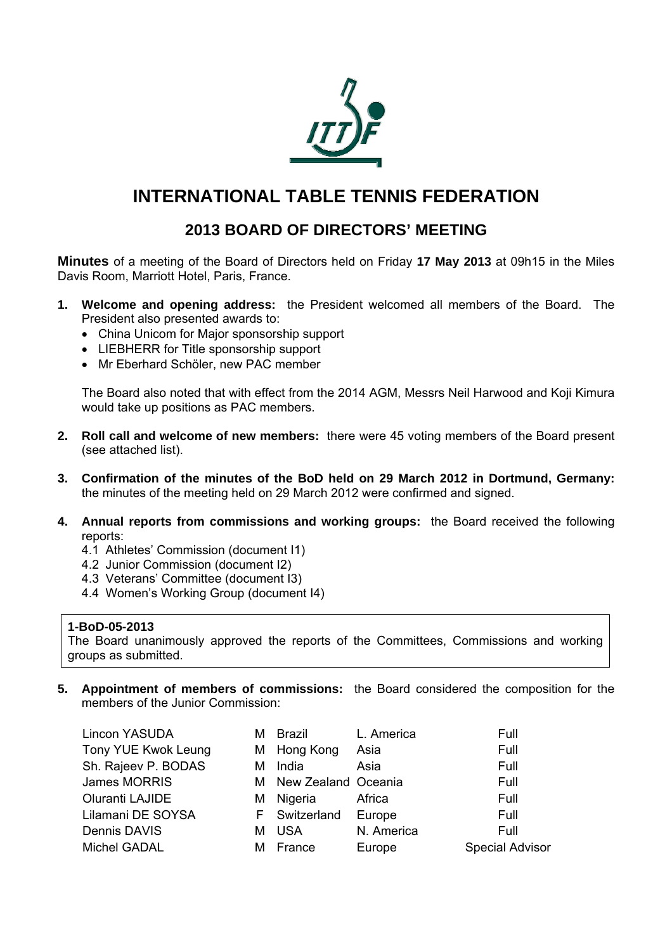

# **INTERNATIONAL TABLE TENNIS FEDERATION**

# **2013 BOARD OF DIRECTORS' MEETING**

**Minutes** of a meeting of the Board of Directors held on Friday **17 May 2013** at 09h15 in the Miles Davis Room, Marriott Hotel, Paris, France.

- **1. Welcome and opening address:** the President welcomed all members of the Board. The President also presented awards to:
	- China Unicom for Major sponsorship support
	- LIEBHERR for Title sponsorship support
	- Mr Eberhard Schöler, new PAC member

The Board also noted that with effect from the 2014 AGM, Messrs Neil Harwood and Koji Kimura would take up positions as PAC members.

- **2. Roll call and welcome of new members:** there were 45 voting members of the Board present (see attached list).
- **3. Confirmation of the minutes of the BoD held on 29 March 2012 in Dortmund, Germany:**  the minutes of the meeting held on 29 March 2012 were confirmed and signed.
- **4. Annual reports from commissions and working groups:** the Board received the following reports:
	- 4.1 Athletes' Commission (document I1)
	- 4.2 Junior Commission (document I2)
	- 4.3 Veterans' Committee (document I3)
	- 4.4 Women's Working Group (document I4)

#### **1-BoD-05-2013**

The Board unanimously approved the reports of the Committees, Commissions and working groups as submitted.

**5. Appointment of members of commissions:** the Board considered the composition for the members of the Junior Commission:

| Lincon YASUDA       | м | <b>Brazil</b>       | L. America | Full                   |
|---------------------|---|---------------------|------------|------------------------|
| Tony YUE Kwok Leung |   | M Hong Kong         | Asia       | Full                   |
| Sh. Rajeev P. BODAS | м | India               | Asia       | Full                   |
| James MORRIS        | M | New Zealand Oceania |            | Full                   |
| Oluranti LAJIDE     | м | Nigeria             | Africa     | Full                   |
| Lilamani DE SOYSA   |   | F Switzerland       | Europe     | Full                   |
| Dennis DAVIS        | м | <b>USA</b>          | N. America | Full                   |
| Michel GADAL        | м | France              | Europe     | <b>Special Advisor</b> |
|                     |   |                     |            |                        |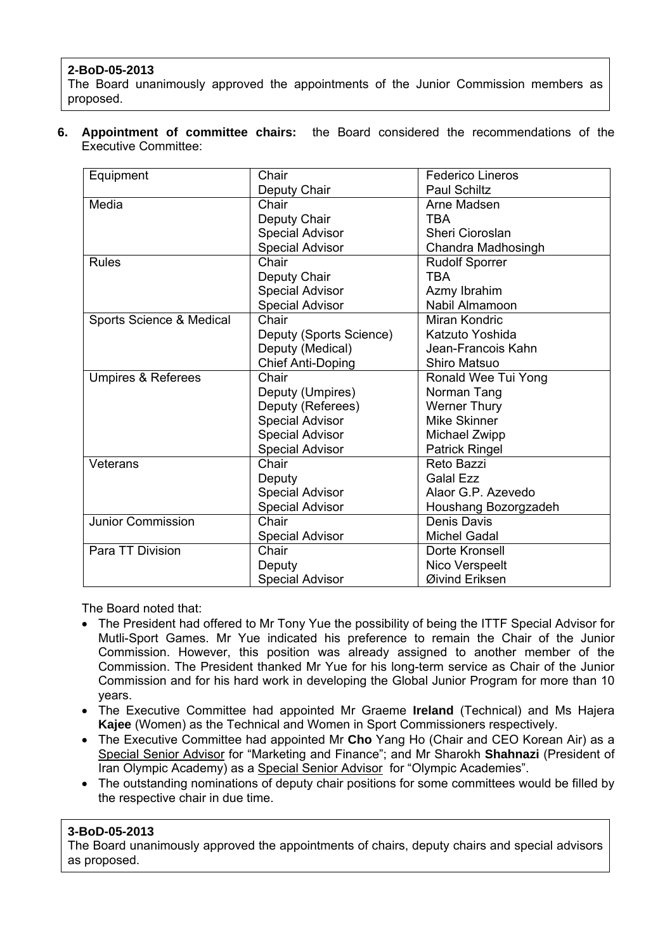# **2-BoD-05-2013**

The Board unanimously approved the appointments of the Junior Commission members as proposed.

**6. Appointment of committee chairs:** the Board considered the recommendations of the Executive Committee:

| Equipment                     | Chair                    | <b>Federico Lineros</b> |
|-------------------------------|--------------------------|-------------------------|
|                               | Deputy Chair             | <b>Paul Schiltz</b>     |
| Media                         | Chair                    | Arne Madsen             |
|                               | Deputy Chair             | <b>TBA</b>              |
|                               | <b>Special Advisor</b>   | Sheri Cioroslan         |
|                               | <b>Special Advisor</b>   | Chandra Madhosingh      |
| <b>Rules</b>                  | Chair                    | <b>Rudolf Sporrer</b>   |
|                               | Deputy Chair             | <b>TBA</b>              |
|                               | <b>Special Advisor</b>   | Azmy Ibrahim            |
|                               | <b>Special Advisor</b>   | Nabil Almamoon          |
| Sports Science & Medical      | Chair                    | Miran Kondric           |
|                               | Deputy (Sports Science)  | Katzuto Yoshida         |
|                               | Deputy (Medical)         | Jean-Francois Kahn      |
|                               | <b>Chief Anti-Doping</b> | <b>Shiro Matsuo</b>     |
| <b>Umpires &amp; Referees</b> | Chair                    | Ronald Wee Tui Yong     |
|                               | Deputy (Umpires)         | Norman Tang             |
|                               | Deputy (Referees)        | <b>Werner Thury</b>     |
|                               | <b>Special Advisor</b>   | Mike Skinner            |
|                               | <b>Special Advisor</b>   | Michael Zwipp           |
|                               | <b>Special Advisor</b>   | <b>Patrick Ringel</b>   |
| Veterans                      | Chair                    | Reto Bazzi              |
|                               | Deputy                   | <b>Galal Ezz</b>        |
|                               | <b>Special Advisor</b>   | Alaor G.P. Azevedo      |
|                               | <b>Special Advisor</b>   | Houshang Bozorgzadeh    |
| Junior Commission             | Chair                    | Denis Davis             |
|                               | <b>Special Advisor</b>   | <b>Michel Gadal</b>     |
| Para TT Division              | Chair                    | Dorte Kronsell          |
|                               | Deputy                   | Nico Verspeelt          |
|                               | <b>Special Advisor</b>   | Øivind Eriksen          |

The Board noted that:

- The President had offered to Mr Tony Yue the possibility of being the ITTF Special Advisor for Mutli-Sport Games. Mr Yue indicated his preference to remain the Chair of the Junior Commission. However, this position was already assigned to another member of the Commission. The President thanked Mr Yue for his long-term service as Chair of the Junior Commission and for his hard work in developing the Global Junior Program for more than 10 years.
- The Executive Committee had appointed Mr Graeme **Ireland** (Technical) and Ms Hajera **Kajee** (Women) as the Technical and Women in Sport Commissioners respectively.
- The Executive Committee had appointed Mr **Cho** Yang Ho (Chair and CEO Korean Air) as a Special Senior Advisor for "Marketing and Finance"; and Mr Sharokh **Shahnazi** (President of Iran Olympic Academy) as a Special Senior Advisor for "Olympic Academies".
- The outstanding nominations of deputy chair positions for some committees would be filled by the respective chair in due time.

# **3-BoD-05-2013**

The Board unanimously approved the appointments of chairs, deputy chairs and special advisors as proposed.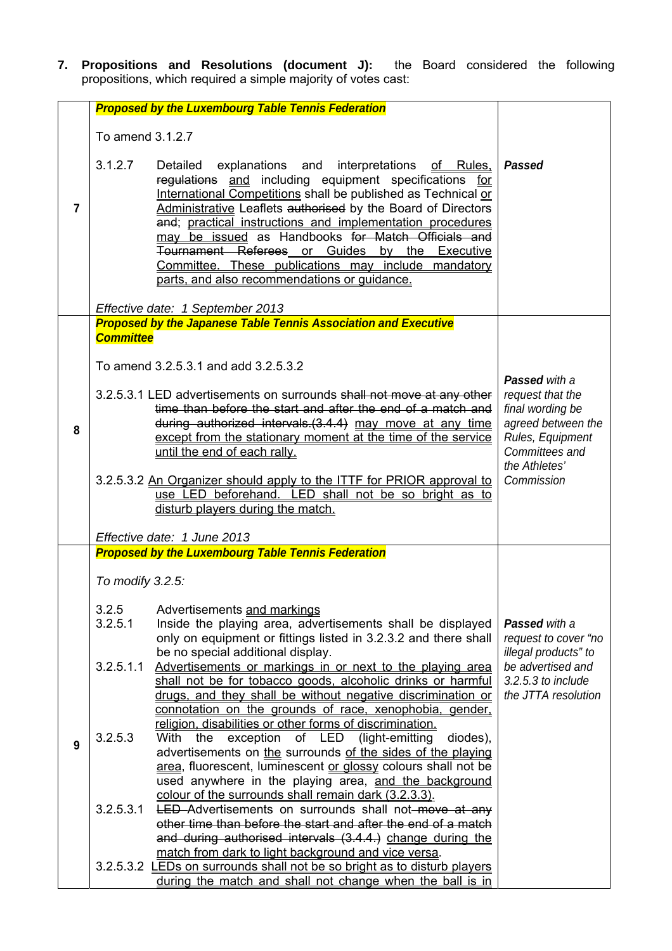**7. Propositions and Resolutions (document J):** the Board considered the following propositions, which required a simple majority of votes cast:

|                |                               | <b>Proposed by the Luxembourg Table Tennis Federation</b>                                                                                                                                                                                                                                                                                                                                                                                                                                                                                                                      |                                                                                                                                                         |
|----------------|-------------------------------|--------------------------------------------------------------------------------------------------------------------------------------------------------------------------------------------------------------------------------------------------------------------------------------------------------------------------------------------------------------------------------------------------------------------------------------------------------------------------------------------------------------------------------------------------------------------------------|---------------------------------------------------------------------------------------------------------------------------------------------------------|
|                | To amend 3.1.2.7              |                                                                                                                                                                                                                                                                                                                                                                                                                                                                                                                                                                                |                                                                                                                                                         |
| $\overline{7}$ | 3.1.2.7                       | Detailed<br>explanations and<br>interpretations<br><u>of Rules.</u><br>regulations and including equipment specifications for<br>International Competitions shall be published as Technical or<br>Administrative Leaflets authorised by the Board of Directors<br>and; practical instructions and implementation procedures<br>may be issued as Handbooks for Match Officials and<br>Tournament Referees or Guides by the Executive<br>Committee. These publications may include mandatory<br>parts, and also recommendations or quidance.<br>Effective date: 1 September 2013 | Passed                                                                                                                                                  |
|                |                               | <b>Proposed by the Japanese Table Tennis Association and Executive</b>                                                                                                                                                                                                                                                                                                                                                                                                                                                                                                         |                                                                                                                                                         |
| 8              | <b>Committee</b>              | To amend 3.2.5.3.1 and add 3.2.5.3.2<br>3.2.5.3.1 LED advertisements on surrounds shall not move at any other<br>time than before the start and after the end of a match and<br>during authorized intervals. (3.4.4) may move at any time<br>except from the stationary moment at the time of the service<br>until the end of each rally.<br>3.2.5.3.2 An Organizer should apply to the ITTF for PRIOR approval to<br>use LED beforehand. LED shall not be so bright as to<br>disturb players during the match.<br>Effective date: 1 June 2013                                 | <b>Passed</b> with a<br>request that the<br>final wording be<br>agreed between the<br>Rules, Equipment<br>Committees and<br>the Athletes'<br>Commission |
|                |                               | <b>Proposed by the Luxembourg Table Tennis Federation</b>                                                                                                                                                                                                                                                                                                                                                                                                                                                                                                                      |                                                                                                                                                         |
|                | To modify 3.2.5:              |                                                                                                                                                                                                                                                                                                                                                                                                                                                                                                                                                                                |                                                                                                                                                         |
|                | 3.2.5<br>3.2.5.1<br>3.2.5.1.1 | Advertisements and markings<br>Inside the playing area, advertisements shall be displayed<br>only on equipment or fittings listed in 3.2.3.2 and there shall<br>be no special additional display.<br>Advertisements or markings in or next to the playing area<br>shall not be for tobacco goods, alcoholic drinks or harmful                                                                                                                                                                                                                                                  | Passed with a<br>request to cover "no<br>illegal products" to<br>be advertised and<br>$3.2.5.3$ to include                                              |
| 9              | 3.2.5.3                       | drugs, and they shall be without negative discrimination or<br>connotation on the grounds of race, xenophobia, gender,<br>religion, disabilities or other forms of discrimination.<br>With<br>exception of LED<br>(light-emitting<br>diodes),<br>the<br>advertisements on the surrounds of the sides of the playing<br>area, fluorescent, luminescent or glossy colours shall not be<br>used anywhere in the playing area, and the background                                                                                                                                  | the JTTA resolution                                                                                                                                     |
|                | 3.2.5.3.1                     | colour of the surrounds shall remain dark (3.2.3.3).<br><b>LED</b> -Advertisements on surrounds shall not-move at any<br>other time than before the start and after the end of a match<br>and during authorised intervals (3.4.4.) change during the                                                                                                                                                                                                                                                                                                                           |                                                                                                                                                         |
|                |                               | match from dark to light background and vice versa.<br>3.2.5.3.2 LEDs on surrounds shall not be so bright as to disturb players<br>during the match and shall not change when the ball is in                                                                                                                                                                                                                                                                                                                                                                                   |                                                                                                                                                         |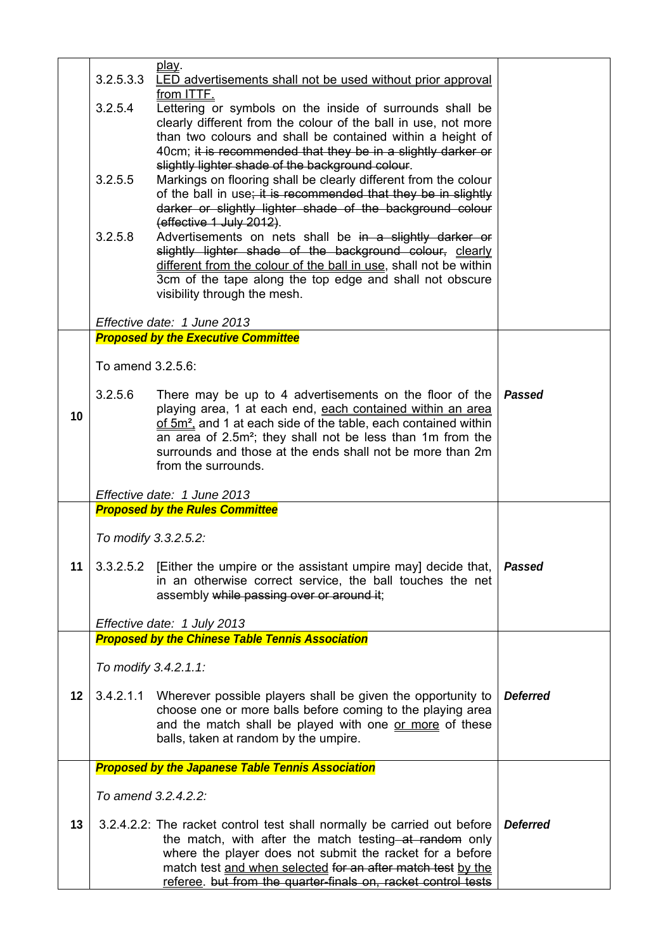| play.<br>3.2.5.3.3<br>LED advertisements shall not be used without prior approval<br>from ITTE.<br>3.2.5.4<br>Lettering or symbols on the inside of surrounds shall be<br>clearly different from the colour of the ball in use, not more<br>than two colours and shall be contained within a height of<br>40cm; it is recommended that they be in a slightly darker or<br>slightly lighter shade of the background colour.<br>3.2.5.5<br>Markings on flooring shall be clearly different from the colour<br>of the ball in use; it is recommended that they be in slightly<br>darker or slightly lighter shade of the background colour<br>(effective 1 July 2012).<br>3.2.5.8<br>Advertisements on nets shall be in a slightly darker or<br>slightly lighter shade of the background colour, clearly<br>different from the colour of the ball in use, shall not be within<br>3cm of the tape along the top edge and shall not obscure<br>visibility through the mesh.<br>Effective date: 1 June 2013<br><b>Proposed by the Executive Committee</b><br>To amend 3.2.5.6:<br>3.2.5.6<br><b>Passed</b><br>There may be up to 4 advertisements on the floor of the<br>playing area, 1 at each end, each contained within an area<br>10<br>of 5m <sup>2</sup> , and 1 at each side of the table, each contained within<br>an area of 2.5m <sup>2</sup> ; they shall not be less than 1m from the<br>surrounds and those at the ends shall not be more than 2m<br>from the surrounds.<br>Effective date: 1 June 2013<br><b>Proposed by the Rules Committee</b><br>To modify 3.3.2.5.2:<br>3.3.2.5.2 [Either the umpire or the assistant umpire may] decide that,<br>11<br><b>Passed</b><br>in an otherwise correct service, the ball touches the net<br>assembly while passing over or around it;<br>Effective date: 1 July 2013<br><b>Proposed by the Chinese Table Tennis Association</b><br>To modify 3.4.2.1.1:<br>12<br><b>Deferred</b><br>3.4.2.1.1 Wherever possible players shall be given the opportunity to<br>choose one or more balls before coming to the playing area<br>and the match shall be played with one or more of these<br>balls, taken at random by the umpire.<br><b>Proposed by the Japanese Table Tennis Association</b><br>To amend 3.2.4.2.2:<br>13<br><b>Deferred</b><br>3.2.4.2.2: The racket control test shall normally be carried out before<br>the match, with after the match testing at random only<br>where the player does not submit the racket for a before<br>match test and when selected for an after match test by the |  |                                                               |  |
|----------------------------------------------------------------------------------------------------------------------------------------------------------------------------------------------------------------------------------------------------------------------------------------------------------------------------------------------------------------------------------------------------------------------------------------------------------------------------------------------------------------------------------------------------------------------------------------------------------------------------------------------------------------------------------------------------------------------------------------------------------------------------------------------------------------------------------------------------------------------------------------------------------------------------------------------------------------------------------------------------------------------------------------------------------------------------------------------------------------------------------------------------------------------------------------------------------------------------------------------------------------------------------------------------------------------------------------------------------------------------------------------------------------------------------------------------------------------------------------------------------------------------------------------------------------------------------------------------------------------------------------------------------------------------------------------------------------------------------------------------------------------------------------------------------------------------------------------------------------------------------------------------------------------------------------------------------------------------------------------------------------------------------------------------------------------------------------------------------------------------------------------------------------------------------------------------------------------------------------------------------------------------------------------------------------------------------------------------------------------------------------------------------------------------------------------------------------------------------------------------------------------------------------------------------------|--|---------------------------------------------------------------|--|
|                                                                                                                                                                                                                                                                                                                                                                                                                                                                                                                                                                                                                                                                                                                                                                                                                                                                                                                                                                                                                                                                                                                                                                                                                                                                                                                                                                                                                                                                                                                                                                                                                                                                                                                                                                                                                                                                                                                                                                                                                                                                                                                                                                                                                                                                                                                                                                                                                                                                                                                                                                |  |                                                               |  |
|                                                                                                                                                                                                                                                                                                                                                                                                                                                                                                                                                                                                                                                                                                                                                                                                                                                                                                                                                                                                                                                                                                                                                                                                                                                                                                                                                                                                                                                                                                                                                                                                                                                                                                                                                                                                                                                                                                                                                                                                                                                                                                                                                                                                                                                                                                                                                                                                                                                                                                                                                                |  |                                                               |  |
|                                                                                                                                                                                                                                                                                                                                                                                                                                                                                                                                                                                                                                                                                                                                                                                                                                                                                                                                                                                                                                                                                                                                                                                                                                                                                                                                                                                                                                                                                                                                                                                                                                                                                                                                                                                                                                                                                                                                                                                                                                                                                                                                                                                                                                                                                                                                                                                                                                                                                                                                                                |  |                                                               |  |
|                                                                                                                                                                                                                                                                                                                                                                                                                                                                                                                                                                                                                                                                                                                                                                                                                                                                                                                                                                                                                                                                                                                                                                                                                                                                                                                                                                                                                                                                                                                                                                                                                                                                                                                                                                                                                                                                                                                                                                                                                                                                                                                                                                                                                                                                                                                                                                                                                                                                                                                                                                |  |                                                               |  |
|                                                                                                                                                                                                                                                                                                                                                                                                                                                                                                                                                                                                                                                                                                                                                                                                                                                                                                                                                                                                                                                                                                                                                                                                                                                                                                                                                                                                                                                                                                                                                                                                                                                                                                                                                                                                                                                                                                                                                                                                                                                                                                                                                                                                                                                                                                                                                                                                                                                                                                                                                                |  |                                                               |  |
|                                                                                                                                                                                                                                                                                                                                                                                                                                                                                                                                                                                                                                                                                                                                                                                                                                                                                                                                                                                                                                                                                                                                                                                                                                                                                                                                                                                                                                                                                                                                                                                                                                                                                                                                                                                                                                                                                                                                                                                                                                                                                                                                                                                                                                                                                                                                                                                                                                                                                                                                                                |  |                                                               |  |
|                                                                                                                                                                                                                                                                                                                                                                                                                                                                                                                                                                                                                                                                                                                                                                                                                                                                                                                                                                                                                                                                                                                                                                                                                                                                                                                                                                                                                                                                                                                                                                                                                                                                                                                                                                                                                                                                                                                                                                                                                                                                                                                                                                                                                                                                                                                                                                                                                                                                                                                                                                |  |                                                               |  |
|                                                                                                                                                                                                                                                                                                                                                                                                                                                                                                                                                                                                                                                                                                                                                                                                                                                                                                                                                                                                                                                                                                                                                                                                                                                                                                                                                                                                                                                                                                                                                                                                                                                                                                                                                                                                                                                                                                                                                                                                                                                                                                                                                                                                                                                                                                                                                                                                                                                                                                                                                                |  |                                                               |  |
|                                                                                                                                                                                                                                                                                                                                                                                                                                                                                                                                                                                                                                                                                                                                                                                                                                                                                                                                                                                                                                                                                                                                                                                                                                                                                                                                                                                                                                                                                                                                                                                                                                                                                                                                                                                                                                                                                                                                                                                                                                                                                                                                                                                                                                                                                                                                                                                                                                                                                                                                                                |  |                                                               |  |
|                                                                                                                                                                                                                                                                                                                                                                                                                                                                                                                                                                                                                                                                                                                                                                                                                                                                                                                                                                                                                                                                                                                                                                                                                                                                                                                                                                                                                                                                                                                                                                                                                                                                                                                                                                                                                                                                                                                                                                                                                                                                                                                                                                                                                                                                                                                                                                                                                                                                                                                                                                |  |                                                               |  |
|                                                                                                                                                                                                                                                                                                                                                                                                                                                                                                                                                                                                                                                                                                                                                                                                                                                                                                                                                                                                                                                                                                                                                                                                                                                                                                                                                                                                                                                                                                                                                                                                                                                                                                                                                                                                                                                                                                                                                                                                                                                                                                                                                                                                                                                                                                                                                                                                                                                                                                                                                                |  |                                                               |  |
|                                                                                                                                                                                                                                                                                                                                                                                                                                                                                                                                                                                                                                                                                                                                                                                                                                                                                                                                                                                                                                                                                                                                                                                                                                                                                                                                                                                                                                                                                                                                                                                                                                                                                                                                                                                                                                                                                                                                                                                                                                                                                                                                                                                                                                                                                                                                                                                                                                                                                                                                                                |  |                                                               |  |
|                                                                                                                                                                                                                                                                                                                                                                                                                                                                                                                                                                                                                                                                                                                                                                                                                                                                                                                                                                                                                                                                                                                                                                                                                                                                                                                                                                                                                                                                                                                                                                                                                                                                                                                                                                                                                                                                                                                                                                                                                                                                                                                                                                                                                                                                                                                                                                                                                                                                                                                                                                |  |                                                               |  |
|                                                                                                                                                                                                                                                                                                                                                                                                                                                                                                                                                                                                                                                                                                                                                                                                                                                                                                                                                                                                                                                                                                                                                                                                                                                                                                                                                                                                                                                                                                                                                                                                                                                                                                                                                                                                                                                                                                                                                                                                                                                                                                                                                                                                                                                                                                                                                                                                                                                                                                                                                                |  |                                                               |  |
|                                                                                                                                                                                                                                                                                                                                                                                                                                                                                                                                                                                                                                                                                                                                                                                                                                                                                                                                                                                                                                                                                                                                                                                                                                                                                                                                                                                                                                                                                                                                                                                                                                                                                                                                                                                                                                                                                                                                                                                                                                                                                                                                                                                                                                                                                                                                                                                                                                                                                                                                                                |  |                                                               |  |
|                                                                                                                                                                                                                                                                                                                                                                                                                                                                                                                                                                                                                                                                                                                                                                                                                                                                                                                                                                                                                                                                                                                                                                                                                                                                                                                                                                                                                                                                                                                                                                                                                                                                                                                                                                                                                                                                                                                                                                                                                                                                                                                                                                                                                                                                                                                                                                                                                                                                                                                                                                |  |                                                               |  |
|                                                                                                                                                                                                                                                                                                                                                                                                                                                                                                                                                                                                                                                                                                                                                                                                                                                                                                                                                                                                                                                                                                                                                                                                                                                                                                                                                                                                                                                                                                                                                                                                                                                                                                                                                                                                                                                                                                                                                                                                                                                                                                                                                                                                                                                                                                                                                                                                                                                                                                                                                                |  |                                                               |  |
|                                                                                                                                                                                                                                                                                                                                                                                                                                                                                                                                                                                                                                                                                                                                                                                                                                                                                                                                                                                                                                                                                                                                                                                                                                                                                                                                                                                                                                                                                                                                                                                                                                                                                                                                                                                                                                                                                                                                                                                                                                                                                                                                                                                                                                                                                                                                                                                                                                                                                                                                                                |  |                                                               |  |
|                                                                                                                                                                                                                                                                                                                                                                                                                                                                                                                                                                                                                                                                                                                                                                                                                                                                                                                                                                                                                                                                                                                                                                                                                                                                                                                                                                                                                                                                                                                                                                                                                                                                                                                                                                                                                                                                                                                                                                                                                                                                                                                                                                                                                                                                                                                                                                                                                                                                                                                                                                |  |                                                               |  |
|                                                                                                                                                                                                                                                                                                                                                                                                                                                                                                                                                                                                                                                                                                                                                                                                                                                                                                                                                                                                                                                                                                                                                                                                                                                                                                                                                                                                                                                                                                                                                                                                                                                                                                                                                                                                                                                                                                                                                                                                                                                                                                                                                                                                                                                                                                                                                                                                                                                                                                                                                                |  |                                                               |  |
|                                                                                                                                                                                                                                                                                                                                                                                                                                                                                                                                                                                                                                                                                                                                                                                                                                                                                                                                                                                                                                                                                                                                                                                                                                                                                                                                                                                                                                                                                                                                                                                                                                                                                                                                                                                                                                                                                                                                                                                                                                                                                                                                                                                                                                                                                                                                                                                                                                                                                                                                                                |  |                                                               |  |
|                                                                                                                                                                                                                                                                                                                                                                                                                                                                                                                                                                                                                                                                                                                                                                                                                                                                                                                                                                                                                                                                                                                                                                                                                                                                                                                                                                                                                                                                                                                                                                                                                                                                                                                                                                                                                                                                                                                                                                                                                                                                                                                                                                                                                                                                                                                                                                                                                                                                                                                                                                |  |                                                               |  |
|                                                                                                                                                                                                                                                                                                                                                                                                                                                                                                                                                                                                                                                                                                                                                                                                                                                                                                                                                                                                                                                                                                                                                                                                                                                                                                                                                                                                                                                                                                                                                                                                                                                                                                                                                                                                                                                                                                                                                                                                                                                                                                                                                                                                                                                                                                                                                                                                                                                                                                                                                                |  |                                                               |  |
|                                                                                                                                                                                                                                                                                                                                                                                                                                                                                                                                                                                                                                                                                                                                                                                                                                                                                                                                                                                                                                                                                                                                                                                                                                                                                                                                                                                                                                                                                                                                                                                                                                                                                                                                                                                                                                                                                                                                                                                                                                                                                                                                                                                                                                                                                                                                                                                                                                                                                                                                                                |  |                                                               |  |
|                                                                                                                                                                                                                                                                                                                                                                                                                                                                                                                                                                                                                                                                                                                                                                                                                                                                                                                                                                                                                                                                                                                                                                                                                                                                                                                                                                                                                                                                                                                                                                                                                                                                                                                                                                                                                                                                                                                                                                                                                                                                                                                                                                                                                                                                                                                                                                                                                                                                                                                                                                |  |                                                               |  |
|                                                                                                                                                                                                                                                                                                                                                                                                                                                                                                                                                                                                                                                                                                                                                                                                                                                                                                                                                                                                                                                                                                                                                                                                                                                                                                                                                                                                                                                                                                                                                                                                                                                                                                                                                                                                                                                                                                                                                                                                                                                                                                                                                                                                                                                                                                                                                                                                                                                                                                                                                                |  |                                                               |  |
|                                                                                                                                                                                                                                                                                                                                                                                                                                                                                                                                                                                                                                                                                                                                                                                                                                                                                                                                                                                                                                                                                                                                                                                                                                                                                                                                                                                                                                                                                                                                                                                                                                                                                                                                                                                                                                                                                                                                                                                                                                                                                                                                                                                                                                                                                                                                                                                                                                                                                                                                                                |  |                                                               |  |
|                                                                                                                                                                                                                                                                                                                                                                                                                                                                                                                                                                                                                                                                                                                                                                                                                                                                                                                                                                                                                                                                                                                                                                                                                                                                                                                                                                                                                                                                                                                                                                                                                                                                                                                                                                                                                                                                                                                                                                                                                                                                                                                                                                                                                                                                                                                                                                                                                                                                                                                                                                |  |                                                               |  |
|                                                                                                                                                                                                                                                                                                                                                                                                                                                                                                                                                                                                                                                                                                                                                                                                                                                                                                                                                                                                                                                                                                                                                                                                                                                                                                                                                                                                                                                                                                                                                                                                                                                                                                                                                                                                                                                                                                                                                                                                                                                                                                                                                                                                                                                                                                                                                                                                                                                                                                                                                                |  |                                                               |  |
|                                                                                                                                                                                                                                                                                                                                                                                                                                                                                                                                                                                                                                                                                                                                                                                                                                                                                                                                                                                                                                                                                                                                                                                                                                                                                                                                                                                                                                                                                                                                                                                                                                                                                                                                                                                                                                                                                                                                                                                                                                                                                                                                                                                                                                                                                                                                                                                                                                                                                                                                                                |  |                                                               |  |
|                                                                                                                                                                                                                                                                                                                                                                                                                                                                                                                                                                                                                                                                                                                                                                                                                                                                                                                                                                                                                                                                                                                                                                                                                                                                                                                                                                                                                                                                                                                                                                                                                                                                                                                                                                                                                                                                                                                                                                                                                                                                                                                                                                                                                                                                                                                                                                                                                                                                                                                                                                |  |                                                               |  |
|                                                                                                                                                                                                                                                                                                                                                                                                                                                                                                                                                                                                                                                                                                                                                                                                                                                                                                                                                                                                                                                                                                                                                                                                                                                                                                                                                                                                                                                                                                                                                                                                                                                                                                                                                                                                                                                                                                                                                                                                                                                                                                                                                                                                                                                                                                                                                                                                                                                                                                                                                                |  |                                                               |  |
|                                                                                                                                                                                                                                                                                                                                                                                                                                                                                                                                                                                                                                                                                                                                                                                                                                                                                                                                                                                                                                                                                                                                                                                                                                                                                                                                                                                                                                                                                                                                                                                                                                                                                                                                                                                                                                                                                                                                                                                                                                                                                                                                                                                                                                                                                                                                                                                                                                                                                                                                                                |  |                                                               |  |
|                                                                                                                                                                                                                                                                                                                                                                                                                                                                                                                                                                                                                                                                                                                                                                                                                                                                                                                                                                                                                                                                                                                                                                                                                                                                                                                                                                                                                                                                                                                                                                                                                                                                                                                                                                                                                                                                                                                                                                                                                                                                                                                                                                                                                                                                                                                                                                                                                                                                                                                                                                |  |                                                               |  |
|                                                                                                                                                                                                                                                                                                                                                                                                                                                                                                                                                                                                                                                                                                                                                                                                                                                                                                                                                                                                                                                                                                                                                                                                                                                                                                                                                                                                                                                                                                                                                                                                                                                                                                                                                                                                                                                                                                                                                                                                                                                                                                                                                                                                                                                                                                                                                                                                                                                                                                                                                                |  |                                                               |  |
|                                                                                                                                                                                                                                                                                                                                                                                                                                                                                                                                                                                                                                                                                                                                                                                                                                                                                                                                                                                                                                                                                                                                                                                                                                                                                                                                                                                                                                                                                                                                                                                                                                                                                                                                                                                                                                                                                                                                                                                                                                                                                                                                                                                                                                                                                                                                                                                                                                                                                                                                                                |  | referee. but from the quarter-finals on, racket control tests |  |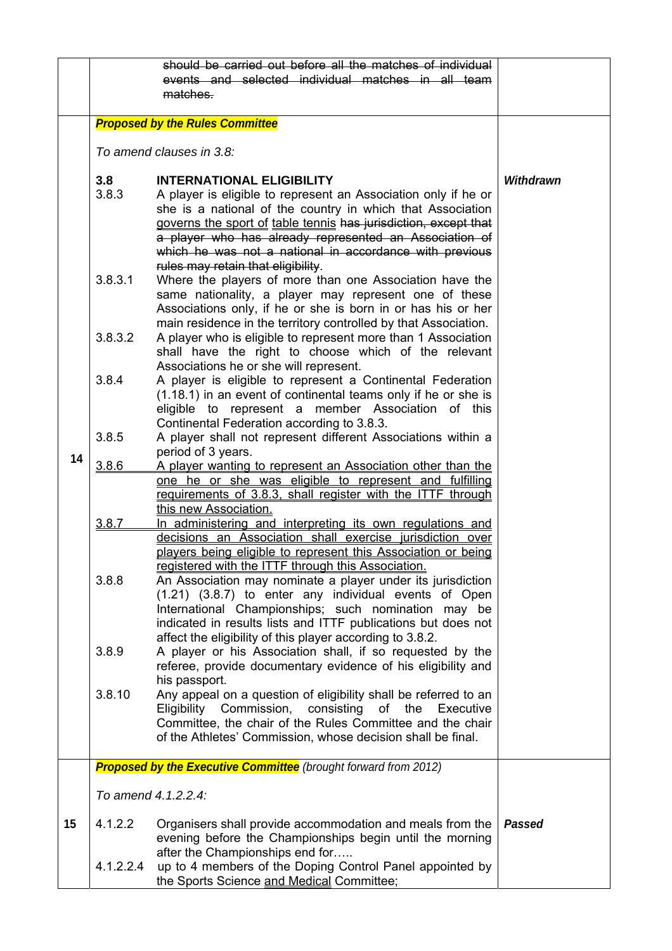|    |                                                                        | should be carried out before all the matches of individual                                                                 |                  |
|----|------------------------------------------------------------------------|----------------------------------------------------------------------------------------------------------------------------|------------------|
|    |                                                                        | events and selected individual matches in all team<br>matches.                                                             |                  |
|    |                                                                        |                                                                                                                            |                  |
|    | <b>Proposed by the Rules Committee</b>                                 |                                                                                                                            |                  |
|    |                                                                        |                                                                                                                            |                  |
|    |                                                                        | To amend clauses in 3.8:                                                                                                   |                  |
|    |                                                                        |                                                                                                                            |                  |
|    | 3.8                                                                    | <b>INTERNATIONAL ELIGIBILITY</b>                                                                                           | <b>Withdrawn</b> |
|    | 3.8.3                                                                  | A player is eligible to represent an Association only if he or                                                             |                  |
|    |                                                                        | she is a national of the country in which that Association                                                                 |                  |
|    |                                                                        | governs the sport of table tennis has jurisdiction, except that                                                            |                  |
|    |                                                                        | a player who has already represented an Association of                                                                     |                  |
|    |                                                                        | which he was not a national in accordance with previous<br>rules may retain that eligibility.                              |                  |
|    | 3.8.3.1                                                                | Where the players of more than one Association have the                                                                    |                  |
|    |                                                                        | same nationality, a player may represent one of these                                                                      |                  |
|    |                                                                        | Associations only, if he or she is born in or has his or her                                                               |                  |
|    |                                                                        | main residence in the territory controlled by that Association.                                                            |                  |
|    | 3.8.3.2                                                                | A player who is eligible to represent more than 1 Association                                                              |                  |
|    |                                                                        | shall have the right to choose which of the relevant                                                                       |                  |
|    |                                                                        | Associations he or she will represent.                                                                                     |                  |
|    | 3.8.4                                                                  | A player is eligible to represent a Continental Federation                                                                 |                  |
|    |                                                                        | (1.18.1) in an event of continental teams only if he or she is<br>eligible to represent a member Association of this       |                  |
|    |                                                                        | Continental Federation according to 3.8.3.                                                                                 |                  |
|    | 3.8.5                                                                  | A player shall not represent different Associations within a                                                               |                  |
| 14 |                                                                        | period of 3 years.                                                                                                         |                  |
|    | 3.8.6                                                                  | A player wanting to represent an Association other than the                                                                |                  |
|    |                                                                        | one he or she was eligible to represent and fulfilling                                                                     |                  |
|    |                                                                        | requirements of 3.8.3, shall register with the ITTF through                                                                |                  |
|    | 3.8.7                                                                  | this new Association.<br>In administering and interpreting its own regulations and                                         |                  |
|    |                                                                        | decisions an Association shall exercise jurisdiction over                                                                  |                  |
|    |                                                                        | players being eligible to represent this Association or being                                                              |                  |
|    |                                                                        | registered with the ITTF through this Association.                                                                         |                  |
|    | 3.8.8                                                                  | An Association may nominate a player under its jurisdiction                                                                |                  |
|    |                                                                        | (1.21) (3.8.7) to enter any individual events of Open                                                                      |                  |
|    |                                                                        | International Championships; such nomination may be                                                                        |                  |
|    |                                                                        | indicated in results lists and ITTF publications but does not<br>affect the eligibility of this player according to 3.8.2. |                  |
|    | 3.8.9                                                                  | A player or his Association shall, if so requested by the                                                                  |                  |
|    |                                                                        | referee, provide documentary evidence of his eligibility and                                                               |                  |
|    |                                                                        | his passport.                                                                                                              |                  |
|    | 3.8.10                                                                 | Any appeal on a question of eligibility shall be referred to an                                                            |                  |
|    |                                                                        | Eligibility Commission, consisting<br>of the<br>Executive                                                                  |                  |
|    |                                                                        | Committee, the chair of the Rules Committee and the chair                                                                  |                  |
|    |                                                                        | of the Athletes' Commission, whose decision shall be final.                                                                |                  |
|    | <b>Proposed by the Executive Committee</b> (brought forward from 2012) |                                                                                                                            |                  |
|    |                                                                        |                                                                                                                            |                  |
|    |                                                                        | To amend 4.1.2.2.4:                                                                                                        |                  |
| 15 | 4.1.2.2                                                                | Organisers shall provide accommodation and meals from the                                                                  | Passed           |
|    |                                                                        | evening before the Championships begin until the morning                                                                   |                  |
|    |                                                                        | after the Championships end for                                                                                            |                  |
|    | 4.1.2.2.4                                                              | up to 4 members of the Doping Control Panel appointed by                                                                   |                  |
|    |                                                                        | the Sports Science and Medical Committee;                                                                                  |                  |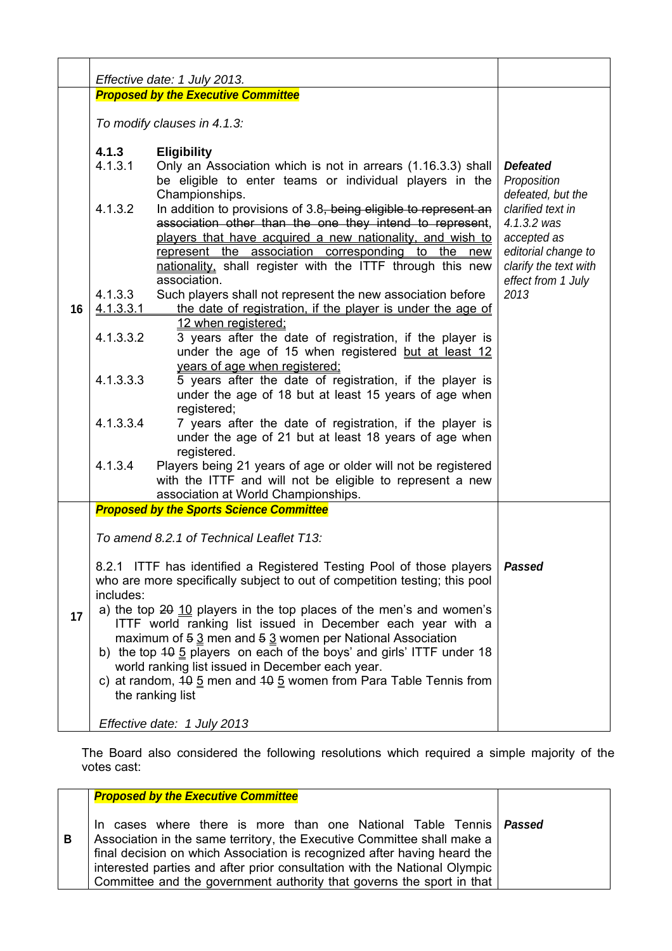|    | Effective date: 1 July 2013.               |                                                                                                                                                                                                                                                                                                                                                                                                                                                 |                                                                                                                      |
|----|--------------------------------------------|-------------------------------------------------------------------------------------------------------------------------------------------------------------------------------------------------------------------------------------------------------------------------------------------------------------------------------------------------------------------------------------------------------------------------------------------------|----------------------------------------------------------------------------------------------------------------------|
|    | <b>Proposed by the Executive Committee</b> |                                                                                                                                                                                                                                                                                                                                                                                                                                                 |                                                                                                                      |
|    | To modify clauses in 4.1.3:                |                                                                                                                                                                                                                                                                                                                                                                                                                                                 |                                                                                                                      |
|    | 4.1.3<br>4.1.3.1                           | <b>Eligibility</b><br>Only an Association which is not in arrears (1.16.3.3) shall<br>be eligible to enter teams or individual players in the                                                                                                                                                                                                                                                                                                   | <b>Defeated</b><br>Proposition                                                                                       |
|    | 4.1.3.2                                    | Championships.<br>In addition to provisions of 3.8, being eligible to represent an<br>association other than the one they intend to represent,<br>players that have acquired a new nationality, and wish to<br>represent the association corresponding to the new<br>nationality, shall register with the ITTF through this new                                                                                                                 | defeated, but the<br>clarified text in<br>4.1.3.2 was<br>accepted as<br>editorial change to<br>clarify the text with |
| 16 | 4.1.3.3<br>4.1.3.3.1                       | association.<br>Such players shall not represent the new association before<br>the date of registration, if the player is under the age of                                                                                                                                                                                                                                                                                                      | effect from 1 July<br>2013                                                                                           |
|    | 4.1.3.3.2                                  | 12 when registered;<br>3 years after the date of registration, if the player is<br>under the age of 15 when registered but at least 12                                                                                                                                                                                                                                                                                                          |                                                                                                                      |
|    | 4.1.3.3.3                                  | years of age when registered:<br>5 years after the date of registration, if the player is<br>under the age of 18 but at least 15 years of age when<br>registered;                                                                                                                                                                                                                                                                               |                                                                                                                      |
|    | 4.1.3.3.4                                  | 7 years after the date of registration, if the player is<br>under the age of 21 but at least 18 years of age when<br>registered.                                                                                                                                                                                                                                                                                                                |                                                                                                                      |
|    | 4.1.3.4                                    | Players being 21 years of age or older will not be registered<br>with the ITTF and will not be eligible to represent a new<br>association at World Championships.                                                                                                                                                                                                                                                                               |                                                                                                                      |
|    |                                            | <b>Proposed by the Sports Science Committee</b>                                                                                                                                                                                                                                                                                                                                                                                                 |                                                                                                                      |
|    |                                            | To amend 8.2.1 of Technical Leaflet T13:                                                                                                                                                                                                                                                                                                                                                                                                        |                                                                                                                      |
|    | includes:                                  | 8.2.1 ITTF has identified a Registered Testing Pool of those players<br>who are more specifically subject to out of competition testing; this pool                                                                                                                                                                                                                                                                                              | <b>Passed</b>                                                                                                        |
| 17 |                                            | a) the top 20 10 players in the top places of the men's and women's<br>ITTF world ranking list issued in December each year with a<br>maximum of $5.3$ men and $5.3$ women per National Association<br>b) the top 40 5 players on each of the boys' and girls' ITTF under 18<br>world ranking list issued in December each year.<br>c) at random, $10\frac{5}{2}$ men and $10\frac{5}{2}$ women from Para Table Tennis from<br>the ranking list |                                                                                                                      |
|    |                                            | Effective date: 1 July 2013                                                                                                                                                                                                                                                                                                                                                                                                                     |                                                                                                                      |

The Board also considered the following resolutions which required a simple majority of the votes cast:

|   | <b>Proposed by the Executive Committee</b>                                                                                                                                                                                                                                                                                                                                        |  |
|---|-----------------------------------------------------------------------------------------------------------------------------------------------------------------------------------------------------------------------------------------------------------------------------------------------------------------------------------------------------------------------------------|--|
| В | In cases where there is more than one National Table Tennis   Passed<br>Association in the same territory, the Executive Committee shall make a<br>final decision on which Association is recognized after having heard the<br>interested parties and after prior consultation with the National Olympic<br>Committee and the government authority that governs the sport in that |  |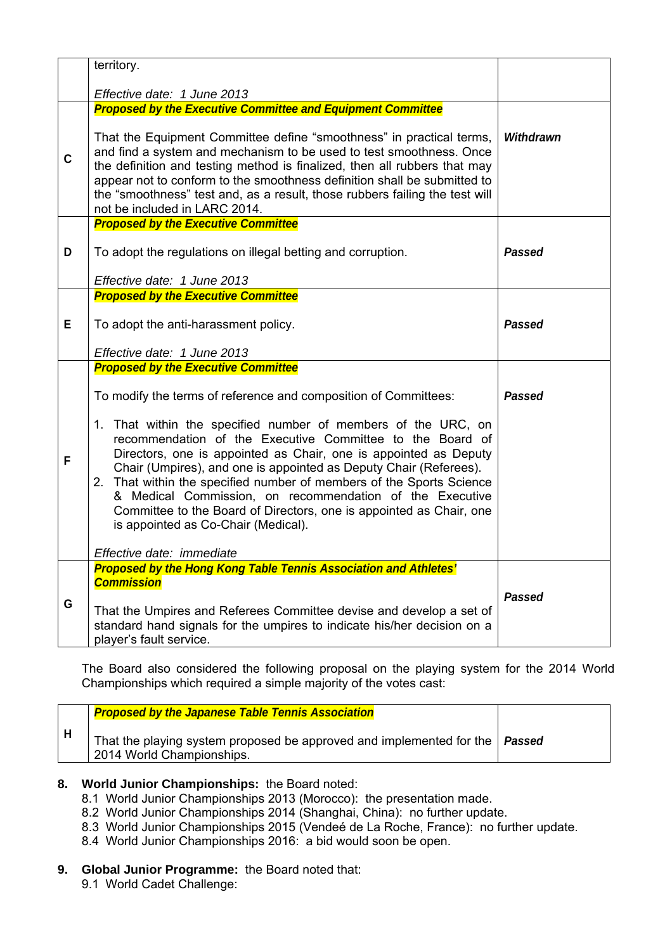|    | territory.                                                                                                                                                                                                                                                                                                                                                                                                                                                                                                                                                                                                                                                          |                  |
|----|---------------------------------------------------------------------------------------------------------------------------------------------------------------------------------------------------------------------------------------------------------------------------------------------------------------------------------------------------------------------------------------------------------------------------------------------------------------------------------------------------------------------------------------------------------------------------------------------------------------------------------------------------------------------|------------------|
|    | Effective date: 1 June 2013                                                                                                                                                                                                                                                                                                                                                                                                                                                                                                                                                                                                                                         |                  |
| C  | <b>Proposed by the Executive Committee and Equipment Committee</b><br>That the Equipment Committee define "smoothness" in practical terms,<br>and find a system and mechanism to be used to test smoothness. Once<br>the definition and testing method is finalized, then all rubbers that may<br>appear not to conform to the smoothness definition shall be submitted to<br>the "smoothness" test and, as a result, those rubbers failing the test will<br>not be included in LARC 2014.                                                                                                                                                                          | <b>Withdrawn</b> |
| D  | <b>Proposed by the Executive Committee</b><br>To adopt the regulations on illegal betting and corruption.<br>Effective date: 1 June 2013                                                                                                                                                                                                                                                                                                                                                                                                                                                                                                                            | Passed           |
| Е. | <b>Proposed by the Executive Committee</b><br>To adopt the anti-harassment policy.<br>Effective date: 1 June 2013                                                                                                                                                                                                                                                                                                                                                                                                                                                                                                                                                   | <b>Passed</b>    |
| F  | <b>Proposed by the Executive Committee</b><br>To modify the terms of reference and composition of Committees:<br>1. That within the specified number of members of the URC, on<br>recommendation of the Executive Committee to the Board of<br>Directors, one is appointed as Chair, one is appointed as Deputy<br>Chair (Umpires), and one is appointed as Deputy Chair (Referees).<br>2. That within the specified number of members of the Sports Science<br>& Medical Commission, on recommendation of the Executive<br>Committee to the Board of Directors, one is appointed as Chair, one<br>is appointed as Co-Chair (Medical).<br>Effective date: immediate | Passed           |
| G  | <b>Proposed by the Hong Kong Table Tennis Association and Athletes'</b><br><b>Commission</b><br>That the Umpires and Referees Committee devise and develop a set of<br>standard hand signals for the umpires to indicate his/her decision on a<br>player's fault service.                                                                                                                                                                                                                                                                                                                                                                                           | <b>Passed</b>    |

The Board also considered the following proposal on the playing system for the 2014 World Championships which required a simple majority of the votes cast:

| <b>Proposed by the Japanese Table Tennis Association</b>                                                   |  |
|------------------------------------------------------------------------------------------------------------|--|
| That the playing system proposed be approved and implemented for the   Passed<br>2014 World Championships. |  |

## **8. World Junior Championships:** the Board noted:

- 8.1 World Junior Championships 2013 (Morocco): the presentation made.
- 8.2 World Junior Championships 2014 (Shanghai, China): no further update.
- 8.3 World Junior Championships 2015 (Vendeé de La Roche, France): no further update.
- 8.4 World Junior Championships 2016: a bid would soon be open.

# **9. Global Junior Programme:** the Board noted that:

9.1 World Cadet Challenge: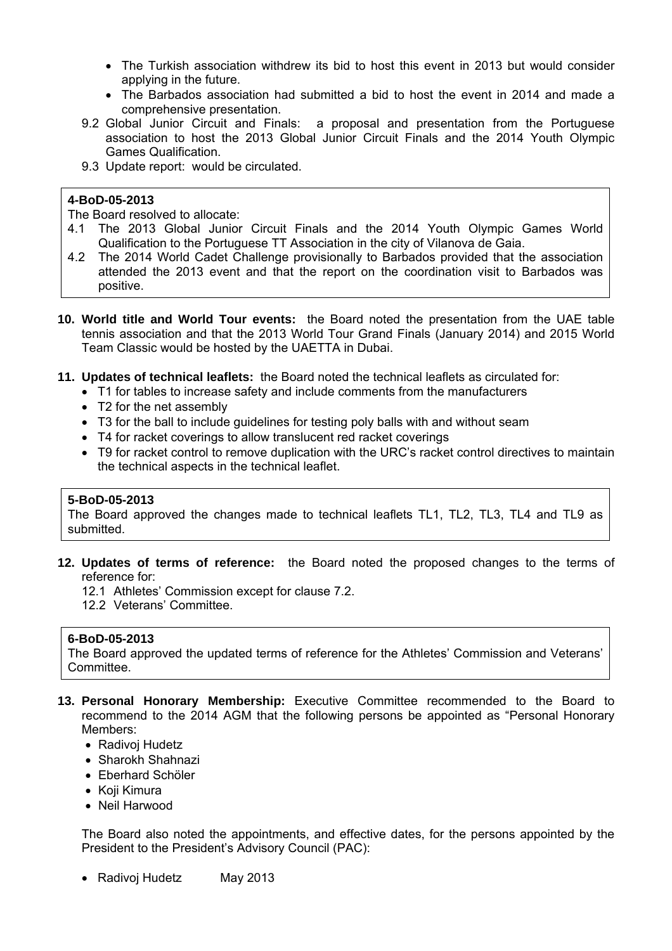- The Turkish association withdrew its bid to host this event in 2013 but would consider applying in the future.
- The Barbados association had submitted a bid to host the event in 2014 and made a comprehensive presentation.
- 9.2 Global Junior Circuit and Finals: a proposal and presentation from the Portuguese association to host the 2013 Global Junior Circuit Finals and the 2014 Youth Olympic Games Qualification.
- 9.3 Update report: would be circulated.

#### **4-BoD-05-2013**

The Board resolved to allocate:

- 4.1 The 2013 Global Junior Circuit Finals and the 2014 Youth Olympic Games World Qualification to the Portuguese TT Association in the city of Vilanova de Gaia.
- 4.2 The 2014 World Cadet Challenge provisionally to Barbados provided that the association attended the 2013 event and that the report on the coordination visit to Barbados was positive.
- **10. World title and World Tour events:** the Board noted the presentation from the UAE table tennis association and that the 2013 World Tour Grand Finals (January 2014) and 2015 World Team Classic would be hosted by the UAETTA in Dubai.
- **11. Updates of technical leaflets:** the Board noted the technical leaflets as circulated for:
	- T1 for tables to increase safety and include comments from the manufacturers
	- T2 for the net assembly
	- T3 for the ball to include guidelines for testing poly balls with and without seam
	- T4 for racket coverings to allow translucent red racket coverings
	- T9 for racket control to remove duplication with the URC's racket control directives to maintain the technical aspects in the technical leaflet.

#### **5-BoD-05-2013**

The Board approved the changes made to technical leaflets TL1, TL2, TL3, TL4 and TL9 as submitted.

- **12. Updates of terms of reference:** the Board noted the proposed changes to the terms of reference for:
	- 12.1 Athletes' Commission except for clause 7.2.
	- 12.2 Veterans' Committee.

#### **6-BoD-05-2013**

The Board approved the updated terms of reference for the Athletes' Commission and Veterans' Committee.

- **13. Personal Honorary Membership:** Executive Committee recommended to the Board to recommend to the 2014 AGM that the following persons be appointed as "Personal Honorary Members:
	- Radivoj Hudetz
	- Sharokh Shahnazi
	- Eberhard Schöler
	- Koji Kimura
	- Neil Harwood

The Board also noted the appointments, and effective dates, for the persons appointed by the President to the President's Advisory Council (PAC):

• Radivoj Hudetz May 2013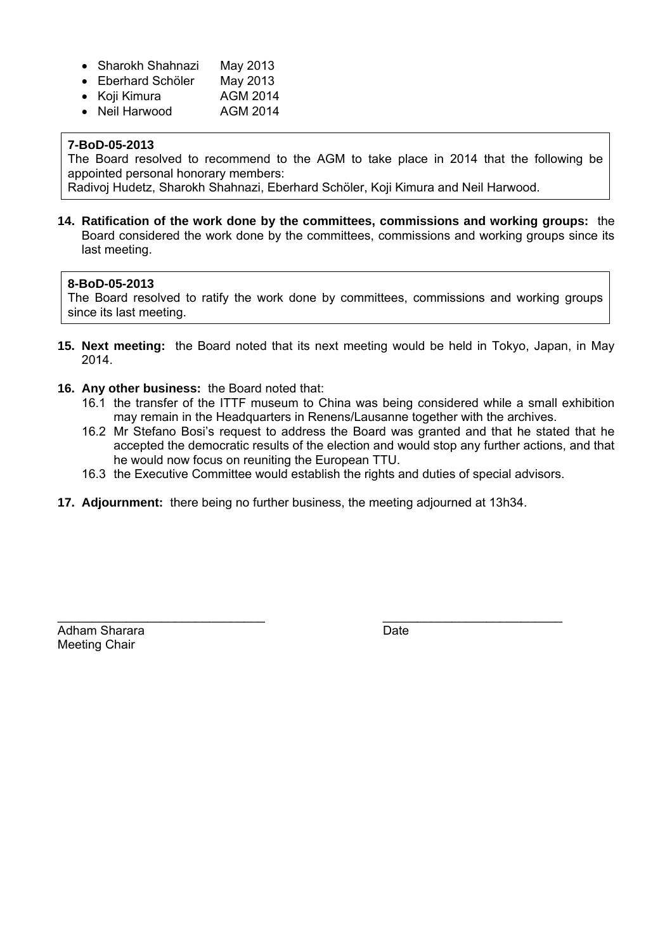- Sharokh Shahnazi May 2013
- Eberhard Schöler May 2013
- Koji Kimura AGM 2014
- Neil Harwood AGM 2014

#### **7-BoD-05-2013**

The Board resolved to recommend to the AGM to take place in 2014 that the following be appointed personal honorary members:

Radivoj Hudetz, Sharokh Shahnazi, Eberhard Schöler, Koji Kimura and Neil Harwood.

**14. Ratification of the work done by the committees, commissions and working groups:** the Board considered the work done by the committees, commissions and working groups since its last meeting.

#### **8-BoD-05-2013**

The Board resolved to ratify the work done by committees, commissions and working groups since its last meeting.

- **15. Next meeting:** the Board noted that its next meeting would be held in Tokyo, Japan, in May 2014.
- **16. Any other business:** the Board noted that:
	- 16.1 the transfer of the ITTF museum to China was being considered while a small exhibition may remain in the Headquarters in Renens/Lausanne together with the archives.
	- 16.2 Mr Stefano Bosi's request to address the Board was granted and that he stated that he accepted the democratic results of the election and would stop any further actions, and that he would now focus on reuniting the European TTU.
	- 16.3 the Executive Committee would establish the rights and duties of special advisors.
- **17. Adjournment:** there being no further business, the meeting adjourned at 13h34.

\_\_\_\_\_\_\_\_\_\_\_\_\_\_\_\_\_\_\_\_\_\_\_\_\_\_\_\_\_\_ \_\_\_\_\_\_\_\_\_\_\_\_\_\_\_\_\_\_\_\_\_\_\_\_\_\_

Adham Sharara **Date** Date **Date** Meeting Chair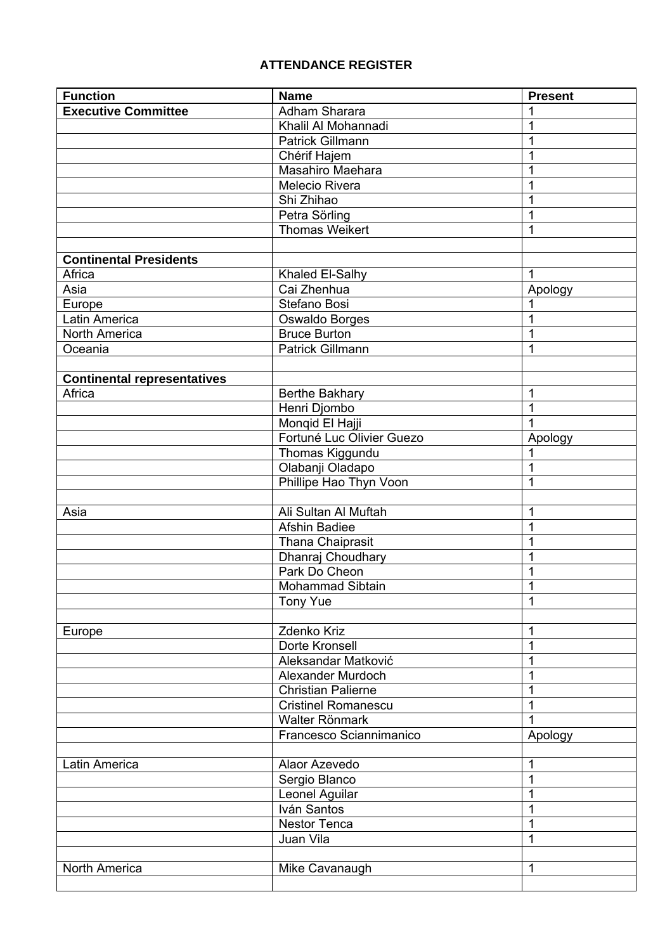# **ATTENDANCE REGISTER**

| <b>Function</b>                    | <b>Name</b>                   | <b>Present</b> |
|------------------------------------|-------------------------------|----------------|
| <b>Executive Committee</b>         | Adham Sharara                 |                |
|                                    | Khalil Al Mohannadi           |                |
|                                    | Patrick Gillmann              |                |
|                                    | Chérif Hajem                  |                |
|                                    | Masahiro Maehara              |                |
|                                    | Melecio Rivera                |                |
|                                    | Shi Zhihao                    |                |
|                                    | Petra Sörling                 | 1              |
|                                    | <b>Thomas Weikert</b>         | 1              |
|                                    |                               |                |
| <b>Continental Presidents</b>      |                               |                |
| Africa                             | Khaled El-Salhy               | 1              |
| Asia                               | Cai Zhenhua                   | Apology        |
| Europe                             | Stefano Bosi                  |                |
| Latin America                      | Oswaldo Borges                |                |
| North America                      | <b>Bruce Burton</b>           |                |
| Oceania                            | <b>Patrick Gillmann</b>       | 1              |
|                                    |                               |                |
| <b>Continental representatives</b> |                               |                |
| Africa                             | Berthe Bakhary                | 1              |
|                                    | Henri Djombo                  | 1              |
|                                    | Monqid El Hajji               |                |
|                                    | Fortuné Luc Olivier Guezo     | Apology        |
|                                    | Thomas Kiggundu               |                |
|                                    | Olabanji Oladapo              | 1              |
|                                    | Phillipe Hao Thyn Voon        | 1              |
|                                    |                               |                |
| Asia                               | Ali Sultan Al Muftah          | 1              |
|                                    | Afshin Badiee                 | 1              |
|                                    | Thana Chaiprasit              |                |
|                                    | Dhanraj Choudhary             |                |
|                                    | Park Do Cheon                 |                |
|                                    | Mohammad Sibtain              | 1              |
|                                    | <b>Tony Yue</b>               | 1              |
|                                    |                               |                |
| Europe                             | Zdenko Kriz<br>Dorte Kronsell | 1              |
|                                    | Aleksandar Matković           | 1              |
|                                    | Alexander Murdoch             | 1              |
|                                    | <b>Christian Palierne</b>     |                |
|                                    | <b>Cristinel Romanescu</b>    |                |
|                                    | Walter Rönmark                |                |
|                                    | Francesco Sciannimanico       | Apology        |
|                                    |                               |                |
| Latin America                      | Alaor Azevedo                 | 1              |
|                                    | Sergio Blanco                 | 1              |
|                                    | Leonel Aguilar                |                |
|                                    | Iván Santos                   | 1              |
|                                    | Nestor Tenca                  | 1              |
|                                    | Juan Vila                     | 1              |
|                                    |                               |                |
| North America                      | Mike Cavanaugh                | 1              |
|                                    |                               |                |
|                                    |                               |                |